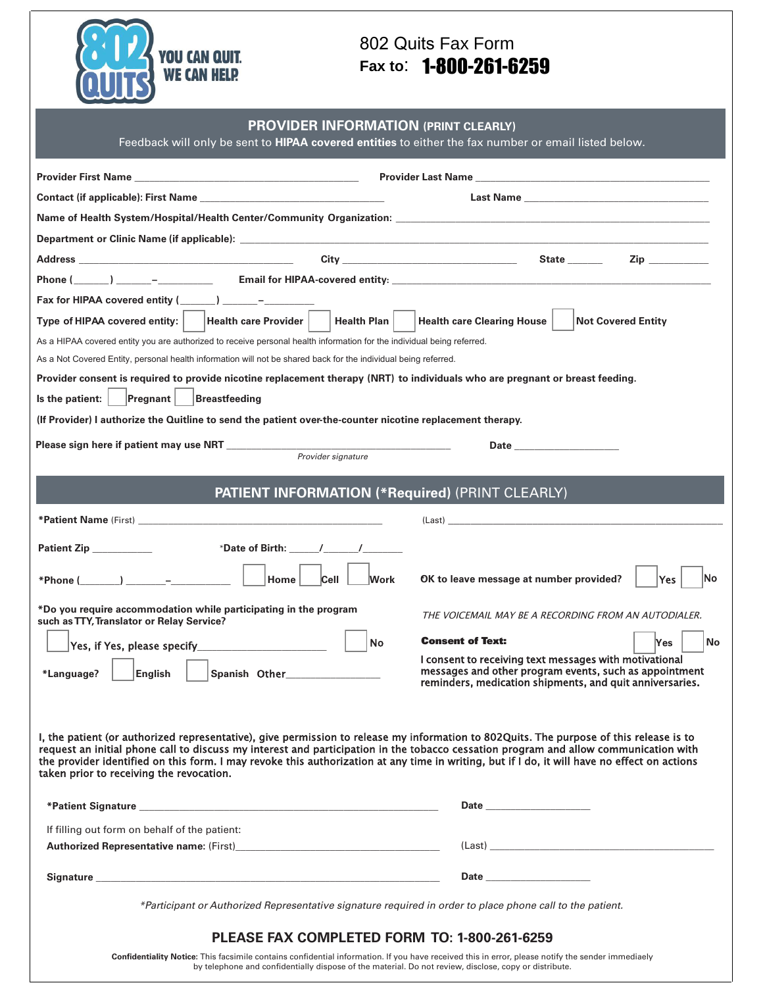

## 802 Quits Fax Form **Fax to**: 1-800-261-6259

Feedback will only be sent to **HIPAA covered entities** to either the fax number or email listed below.

| Last Name and the contract of the contract of the contract of the contract of the contract of the contract of the contract of the contract of the contract of the contract of the contract of the contract of the contract of<br>Name of Health System/Hospital/Health Center/Community Organization: Letter and the control of the control of the control of the control of the control of the control of the control of the control of the control of the con<br>$\mathsf{Zip} \ \_\_\_\_\_\_\$<br>Fax for HIPAA covered entity ( ) –<br>Type of HIPAA covered entity:  <br><b>Health care Provider</b><br><b>Health Plan</b><br><b>Health care Clearing House</b><br><b>Not Covered Entity</b><br>As a HIPAA covered entity you are authorized to receive personal health information for the individual being referred. |      |
|-----------------------------------------------------------------------------------------------------------------------------------------------------------------------------------------------------------------------------------------------------------------------------------------------------------------------------------------------------------------------------------------------------------------------------------------------------------------------------------------------------------------------------------------------------------------------------------------------------------------------------------------------------------------------------------------------------------------------------------------------------------------------------------------------------------------------------|------|
|                                                                                                                                                                                                                                                                                                                                                                                                                                                                                                                                                                                                                                                                                                                                                                                                                             |      |
|                                                                                                                                                                                                                                                                                                                                                                                                                                                                                                                                                                                                                                                                                                                                                                                                                             |      |
|                                                                                                                                                                                                                                                                                                                                                                                                                                                                                                                                                                                                                                                                                                                                                                                                                             |      |
|                                                                                                                                                                                                                                                                                                                                                                                                                                                                                                                                                                                                                                                                                                                                                                                                                             |      |
|                                                                                                                                                                                                                                                                                                                                                                                                                                                                                                                                                                                                                                                                                                                                                                                                                             |      |
|                                                                                                                                                                                                                                                                                                                                                                                                                                                                                                                                                                                                                                                                                                                                                                                                                             |      |
|                                                                                                                                                                                                                                                                                                                                                                                                                                                                                                                                                                                                                                                                                                                                                                                                                             |      |
|                                                                                                                                                                                                                                                                                                                                                                                                                                                                                                                                                                                                                                                                                                                                                                                                                             |      |
| As a Not Covered Entity, personal health information will not be shared back for the individual being referred.                                                                                                                                                                                                                                                                                                                                                                                                                                                                                                                                                                                                                                                                                                             |      |
| Provider consent is required to provide nicotine replacement therapy (NRT) to individuals who are pregnant or breast feeding.                                                                                                                                                                                                                                                                                                                                                                                                                                                                                                                                                                                                                                                                                               |      |
| <b>Pregnant</b><br>Breastfeeding<br>Is the patient:                                                                                                                                                                                                                                                                                                                                                                                                                                                                                                                                                                                                                                                                                                                                                                         |      |
| (If Provider) I authorize the Quit line to send the patient over-the-counter nicotine replacement therapy.                                                                                                                                                                                                                                                                                                                                                                                                                                                                                                                                                                                                                                                                                                                  |      |
| Date <u>and the second of the second second</u>                                                                                                                                                                                                                                                                                                                                                                                                                                                                                                                                                                                                                                                                                                                                                                             |      |
| Provider signature                                                                                                                                                                                                                                                                                                                                                                                                                                                                                                                                                                                                                                                                                                                                                                                                          |      |
|                                                                                                                                                                                                                                                                                                                                                                                                                                                                                                                                                                                                                                                                                                                                                                                                                             |      |
| <b>PATIENT INFORMATION (*Required) (PRINT CLEARLY)</b>                                                                                                                                                                                                                                                                                                                                                                                                                                                                                                                                                                                                                                                                                                                                                                      |      |
| $\text{(Last)}$                                                                                                                                                                                                                                                                                                                                                                                                                                                                                                                                                                                                                                                                                                                                                                                                             |      |
| Patient Zip<br>*Date of Birth: $\sqrt{2}$ / $\sqrt{2}$                                                                                                                                                                                                                                                                                                                                                                                                                                                                                                                                                                                                                                                                                                                                                                      |      |
|                                                                                                                                                                                                                                                                                                                                                                                                                                                                                                                                                                                                                                                                                                                                                                                                                             |      |
| *Phone $(\_\_\_\_)$ $\_\_\_\_$<br>Home<br>Cell<br>OK to leave message at number provided?<br>Work<br><b>Yes</b>                                                                                                                                                                                                                                                                                                                                                                                                                                                                                                                                                                                                                                                                                                             | lNo. |
| *Do you require accommodation while participating in the program<br>THE VOICEMAIL MAY BE A RECORDING FROM AN AUTODIALER.                                                                                                                                                                                                                                                                                                                                                                                                                                                                                                                                                                                                                                                                                                    |      |
| such as TTY, Translator or Relay Service?                                                                                                                                                                                                                                                                                                                                                                                                                                                                                                                                                                                                                                                                                                                                                                                   |      |
| <b>Consent of Text:</b><br>No<br>Yes.                                                                                                                                                                                                                                                                                                                                                                                                                                                                                                                                                                                                                                                                                                                                                                                       | No   |
| I consent to receiving text messages with motivational<br>messages and other program events, such as appointment<br>*Language?<br>English<br>Spanish Other <b>Spanish Other</b>                                                                                                                                                                                                                                                                                                                                                                                                                                                                                                                                                                                                                                             |      |
| reminders, medication shipments, and quit anniversaries.                                                                                                                                                                                                                                                                                                                                                                                                                                                                                                                                                                                                                                                                                                                                                                    |      |
|                                                                                                                                                                                                                                                                                                                                                                                                                                                                                                                                                                                                                                                                                                                                                                                                                             |      |
|                                                                                                                                                                                                                                                                                                                                                                                                                                                                                                                                                                                                                                                                                                                                                                                                                             |      |
| I, the patient (or authorized representative), give permission to release my information to 802Quits. The purpose of this release is to<br>request an initial phone call to discuss my interest and participation in the tobacco cessation program and allow communication with                                                                                                                                                                                                                                                                                                                                                                                                                                                                                                                                             |      |
| the provider identified on this form. I may revoke this authorization at any time in writing, but if I do, it will have no effect on actions<br>taken prior to receiving the revocation.                                                                                                                                                                                                                                                                                                                                                                                                                                                                                                                                                                                                                                    |      |
|                                                                                                                                                                                                                                                                                                                                                                                                                                                                                                                                                                                                                                                                                                                                                                                                                             |      |
| Date <u>and the series of the series of the series of the series of the series of the series of the series of the series of the series of the series of the series of the series of the series of the series of the series of th</u>                                                                                                                                                                                                                                                                                                                                                                                                                                                                                                                                                                                        |      |
| If filling out form on behalf of the patient:                                                                                                                                                                                                                                                                                                                                                                                                                                                                                                                                                                                                                                                                                                                                                                               |      |
|                                                                                                                                                                                                                                                                                                                                                                                                                                                                                                                                                                                                                                                                                                                                                                                                                             |      |
| Date and the state of the state of the state of the state of the state of the state of the state of the state                                                                                                                                                                                                                                                                                                                                                                                                                                                                                                                                                                                                                                                                                                               |      |
| Signature experience and the second contract of the second contract of the second contract of the second contract of the second contract of the second contract of the second contract of the second contract of the second co                                                                                                                                                                                                                                                                                                                                                                                                                                                                                                                                                                                              |      |
| *Participant or Authorized Representative signature required in order to place phone call to the patient.                                                                                                                                                                                                                                                                                                                                                                                                                                                                                                                                                                                                                                                                                                                   |      |
| PLEASE FAX COMPLETED FORM TO: 1-800-261-6259                                                                                                                                                                                                                                                                                                                                                                                                                                                                                                                                                                                                                                                                                                                                                                                |      |

**Confidentiality Notice:** This facsimile contains confidential information. If you have received this in error, please notify the sender immediaely by telephone and confidentially dispose of the material. Do not review, disclose, copy or distribute.